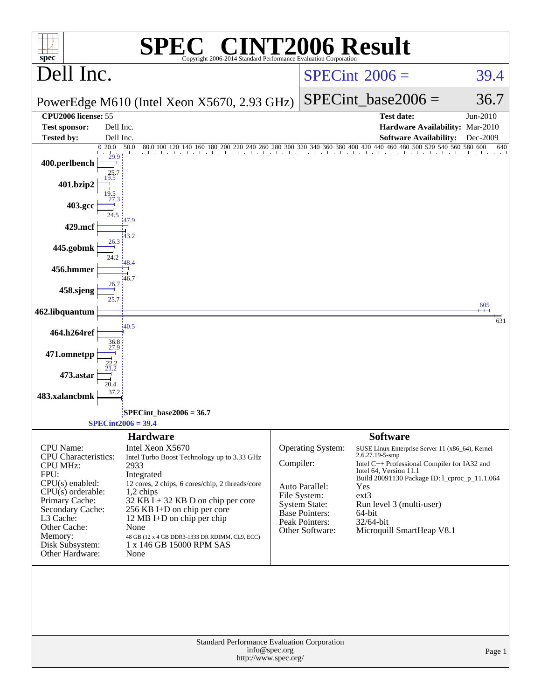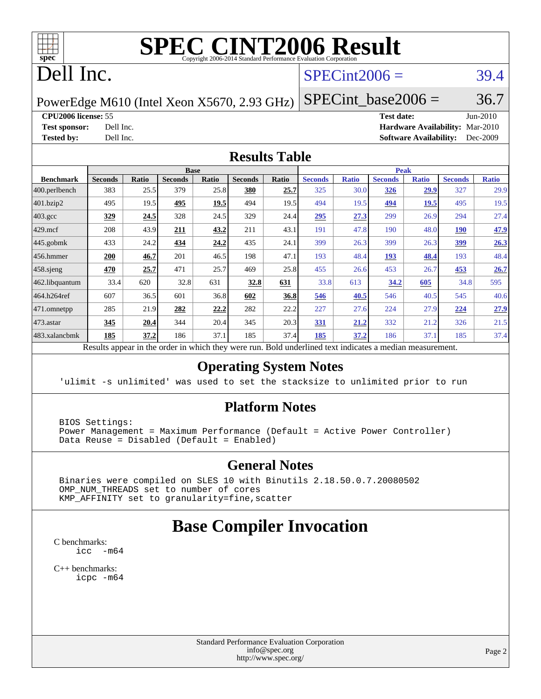

# **[SPEC CINT2006 Result](http://www.spec.org/auto/cpu2006/Docs/result-fields.html#SPECCINT2006Result)**

# Dell Inc.

### $SPECint2006 = 39.4$  $SPECint2006 = 39.4$

PowerEdge M610 (Intel Xeon X5670, 2.93 GHz)

**[CPU2006 license:](http://www.spec.org/auto/cpu2006/Docs/result-fields.html#CPU2006license)** 55 **[Test date:](http://www.spec.org/auto/cpu2006/Docs/result-fields.html#Testdate)** Jun-2010

 $SPECTnt\_base2006 = 36.7$ 

**[Test sponsor:](http://www.spec.org/auto/cpu2006/Docs/result-fields.html#Testsponsor)** Dell Inc. **[Hardware Availability:](http://www.spec.org/auto/cpu2006/Docs/result-fields.html#HardwareAvailability)** Mar-2010 **[Tested by:](http://www.spec.org/auto/cpu2006/Docs/result-fields.html#Testedby)** Dell Inc. **[Software Availability:](http://www.spec.org/auto/cpu2006/Docs/result-fields.html#SoftwareAvailability)** Dec-2009

#### **[Results Table](http://www.spec.org/auto/cpu2006/Docs/result-fields.html#ResultsTable)**

|                                                                                                        | <b>Base</b>    |       |                |              |                | <b>Peak</b> |                |              |                |              |                |              |
|--------------------------------------------------------------------------------------------------------|----------------|-------|----------------|--------------|----------------|-------------|----------------|--------------|----------------|--------------|----------------|--------------|
| <b>Benchmark</b>                                                                                       | <b>Seconds</b> | Ratio | <b>Seconds</b> | <b>Ratio</b> | <b>Seconds</b> | Ratio       | <b>Seconds</b> | <b>Ratio</b> | <b>Seconds</b> | <b>Ratio</b> | <b>Seconds</b> | <b>Ratio</b> |
| $400.$ perlbench                                                                                       | 383            | 25.5  | 379            | 25.8         | 380            | 25.7        | 325            | 30.0         | 326            | 29.9         | 327            | 29.9         |
| 401.bzip2                                                                                              | 495            | 19.5  | 495            | 19.5         | 494            | 19.5        | 494            | 19.5         | 494            | 19.5         | 495            | 19.5         |
| $403.\text{gcc}$                                                                                       | 329            | 24.5  | 328            | 24.5         | 329            | 24.4        | 295            | 27.3         | 299            | 26.9         | 294            | 27.4         |
| $429$ .mcf                                                                                             | 208            | 43.9  | 211            | 43.2         | 211            | 43.1        | 191            | 47.8         | 190            | 48.0         | <b>190</b>     | 47.9         |
| $445$ .gobmk                                                                                           | 433            | 24.2  | 434            | 24.2         | 435            | 24.1        | 399            | 26.3         | 399            | 26.3         | 399            | 26.3         |
| 456.hmmer                                                                                              | 200            | 46.7  | 201            | 46.5         | 198            | 47.1        | 193            | 48.4         | 193            | 48.4         | 193            | 48.4         |
| $458$ .sjeng                                                                                           | 470            | 25.7  | 471            | 25.7         | 469            | 25.8        | 455            | 26.6         | 453            | 26.7         | 453            | 26.7         |
| 462.libquantum                                                                                         | 33.4           | 620   | 32.8           | 631          | 32.8           | <u>631</u>  | 33.8           | 613          | 34.2           | 605          | 34.8           | 595          |
| 464.h264ref                                                                                            | 607            | 36.5  | 601            | 36.8         | 602            | 36.8        | 546            | 40.5         | 546            | 40.5         | 545            | 40.6         |
| 471.omnetpp                                                                                            | 285            | 21.9  | 282            | 22.2         | 282            | 22.2        | 227            | 27.6         | 224            | 27.9         | 224            | 27.9         |
| $473.$ astar                                                                                           | 345            | 20.4  | 344            | 20.4         | 345            | 20.3        | 331            | 21.2         | 332            | 21.2         | 326            | 21.5         |
| 483.xalancbmk                                                                                          | 185            | 37.2  | 186            | 37.1         | 185            | 37.4        | 185            | 37.2         | 186            | 37.1         | 185            | 37.4         |
| Decute ennear in the order in which they were run. Pold underlined text indicates a median measurement |                |       |                |              |                |             |                |              |                |              |                |              |

Results appear in the [order in which they were run.](http://www.spec.org/auto/cpu2006/Docs/result-fields.html#RunOrder) Bold underlined text [indicates a median measurement.](http://www.spec.org/auto/cpu2006/Docs/result-fields.html#Median)

#### **[Operating System Notes](http://www.spec.org/auto/cpu2006/Docs/result-fields.html#OperatingSystemNotes)**

'ulimit -s unlimited' was used to set the stacksize to unlimited prior to run

#### **[Platform Notes](http://www.spec.org/auto/cpu2006/Docs/result-fields.html#PlatformNotes)**

 BIOS Settings: Power Management = Maximum Performance (Default = Active Power Controller) Data Reuse = Disabled (Default = Enabled)

#### **[General Notes](http://www.spec.org/auto/cpu2006/Docs/result-fields.html#GeneralNotes)**

 Binaries were compiled on SLES 10 with Binutils 2.18.50.0.7.20080502 OMP\_NUM\_THREADS set to number of cores KMP\_AFFINITY set to granularity=fine,scatter

## **[Base Compiler Invocation](http://www.spec.org/auto/cpu2006/Docs/result-fields.html#BaseCompilerInvocation)**

[C benchmarks](http://www.spec.org/auto/cpu2006/Docs/result-fields.html#Cbenchmarks): [icc -m64](http://www.spec.org/cpu2006/results/res2010q3/cpu2006-20100719-12596.flags.html#user_CCbase_intel_icc_64bit_f346026e86af2a669e726fe758c88044)

[C++ benchmarks:](http://www.spec.org/auto/cpu2006/Docs/result-fields.html#CXXbenchmarks) [icpc -m64](http://www.spec.org/cpu2006/results/res2010q3/cpu2006-20100719-12596.flags.html#user_CXXbase_intel_icpc_64bit_fc66a5337ce925472a5c54ad6a0de310)

> Standard Performance Evaluation Corporation [info@spec.org](mailto:info@spec.org) <http://www.spec.org/>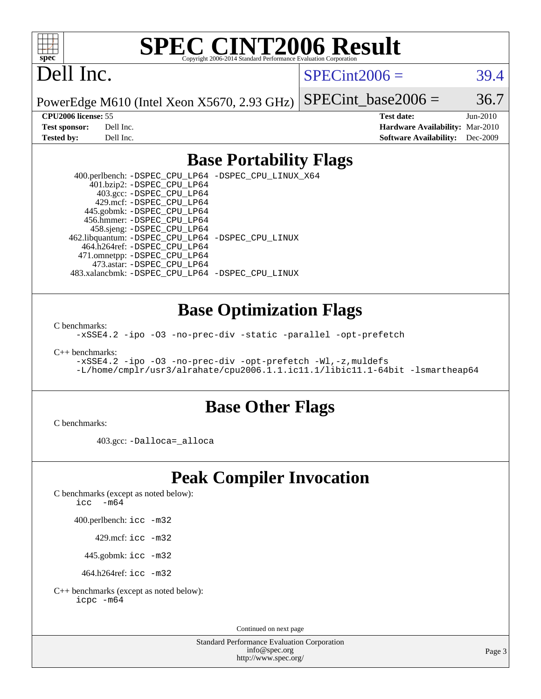

# **[SPEC CINT2006 Result](http://www.spec.org/auto/cpu2006/Docs/result-fields.html#SPECCINT2006Result)**

# Dell Inc.

 $SPECint2006 = 39.4$  $SPECint2006 = 39.4$ 

PowerEdge M610 (Intel Xeon X5670, 2.93 GHz)

SPECint base2006 =  $36.7$ 

**[CPU2006 license:](http://www.spec.org/auto/cpu2006/Docs/result-fields.html#CPU2006license)** 55 **[Test date:](http://www.spec.org/auto/cpu2006/Docs/result-fields.html#Testdate)** Jun-2010 **[Test sponsor:](http://www.spec.org/auto/cpu2006/Docs/result-fields.html#Testsponsor)** Dell Inc. **[Hardware Availability:](http://www.spec.org/auto/cpu2006/Docs/result-fields.html#HardwareAvailability)** Mar-2010 **[Tested by:](http://www.spec.org/auto/cpu2006/Docs/result-fields.html#Testedby)** Dell Inc. **[Software Availability:](http://www.spec.org/auto/cpu2006/Docs/result-fields.html#SoftwareAvailability)** Dec-2009

#### **[Base Portability Flags](http://www.spec.org/auto/cpu2006/Docs/result-fields.html#BasePortabilityFlags)**

 400.perlbench: [-DSPEC\\_CPU\\_LP64](http://www.spec.org/cpu2006/results/res2010q3/cpu2006-20100719-12596.flags.html#b400.perlbench_basePORTABILITY_DSPEC_CPU_LP64) [-DSPEC\\_CPU\\_LINUX\\_X64](http://www.spec.org/cpu2006/results/res2010q3/cpu2006-20100719-12596.flags.html#b400.perlbench_baseCPORTABILITY_DSPEC_CPU_LINUX_X64) 401.bzip2: [-DSPEC\\_CPU\\_LP64](http://www.spec.org/cpu2006/results/res2010q3/cpu2006-20100719-12596.flags.html#suite_basePORTABILITY401_bzip2_DSPEC_CPU_LP64) 403.gcc: [-DSPEC\\_CPU\\_LP64](http://www.spec.org/cpu2006/results/res2010q3/cpu2006-20100719-12596.flags.html#suite_basePORTABILITY403_gcc_DSPEC_CPU_LP64) 429.mcf: [-DSPEC\\_CPU\\_LP64](http://www.spec.org/cpu2006/results/res2010q3/cpu2006-20100719-12596.flags.html#suite_basePORTABILITY429_mcf_DSPEC_CPU_LP64) 445.gobmk: [-DSPEC\\_CPU\\_LP64](http://www.spec.org/cpu2006/results/res2010q3/cpu2006-20100719-12596.flags.html#suite_basePORTABILITY445_gobmk_DSPEC_CPU_LP64) 456.hmmer: [-DSPEC\\_CPU\\_LP64](http://www.spec.org/cpu2006/results/res2010q3/cpu2006-20100719-12596.flags.html#suite_basePORTABILITY456_hmmer_DSPEC_CPU_LP64) 458.sjeng: [-DSPEC\\_CPU\\_LP64](http://www.spec.org/cpu2006/results/res2010q3/cpu2006-20100719-12596.flags.html#suite_basePORTABILITY458_sjeng_DSPEC_CPU_LP64) 462.libquantum: [-DSPEC\\_CPU\\_LP64](http://www.spec.org/cpu2006/results/res2010q3/cpu2006-20100719-12596.flags.html#suite_basePORTABILITY462_libquantum_DSPEC_CPU_LP64) [-DSPEC\\_CPU\\_LINUX](http://www.spec.org/cpu2006/results/res2010q3/cpu2006-20100719-12596.flags.html#b462.libquantum_baseCPORTABILITY_DSPEC_CPU_LINUX) 464.h264ref: [-DSPEC\\_CPU\\_LP64](http://www.spec.org/cpu2006/results/res2010q3/cpu2006-20100719-12596.flags.html#suite_basePORTABILITY464_h264ref_DSPEC_CPU_LP64) 471.omnetpp: [-DSPEC\\_CPU\\_LP64](http://www.spec.org/cpu2006/results/res2010q3/cpu2006-20100719-12596.flags.html#suite_basePORTABILITY471_omnetpp_DSPEC_CPU_LP64) 473.astar: [-DSPEC\\_CPU\\_LP64](http://www.spec.org/cpu2006/results/res2010q3/cpu2006-20100719-12596.flags.html#suite_basePORTABILITY473_astar_DSPEC_CPU_LP64) 483.xalancbmk: [-DSPEC\\_CPU\\_LP64](http://www.spec.org/cpu2006/results/res2010q3/cpu2006-20100719-12596.flags.html#suite_basePORTABILITY483_xalancbmk_DSPEC_CPU_LP64) [-DSPEC\\_CPU\\_LINUX](http://www.spec.org/cpu2006/results/res2010q3/cpu2006-20100719-12596.flags.html#b483.xalancbmk_baseCXXPORTABILITY_DSPEC_CPU_LINUX)

#### **[Base Optimization Flags](http://www.spec.org/auto/cpu2006/Docs/result-fields.html#BaseOptimizationFlags)**

[C benchmarks](http://www.spec.org/auto/cpu2006/Docs/result-fields.html#Cbenchmarks):

[-xSSE4.2](http://www.spec.org/cpu2006/results/res2010q3/cpu2006-20100719-12596.flags.html#user_CCbase_f-xSSE42_f91528193cf0b216347adb8b939d4107) [-ipo](http://www.spec.org/cpu2006/results/res2010q3/cpu2006-20100719-12596.flags.html#user_CCbase_f-ipo) [-O3](http://www.spec.org/cpu2006/results/res2010q3/cpu2006-20100719-12596.flags.html#user_CCbase_f-O3) [-no-prec-div](http://www.spec.org/cpu2006/results/res2010q3/cpu2006-20100719-12596.flags.html#user_CCbase_f-no-prec-div) [-static](http://www.spec.org/cpu2006/results/res2010q3/cpu2006-20100719-12596.flags.html#user_CCbase_f-static) [-parallel](http://www.spec.org/cpu2006/results/res2010q3/cpu2006-20100719-12596.flags.html#user_CCbase_f-parallel) [-opt-prefetch](http://www.spec.org/cpu2006/results/res2010q3/cpu2006-20100719-12596.flags.html#user_CCbase_f-opt-prefetch)

[C++ benchmarks:](http://www.spec.org/auto/cpu2006/Docs/result-fields.html#CXXbenchmarks)

[-xSSE4.2](http://www.spec.org/cpu2006/results/res2010q3/cpu2006-20100719-12596.flags.html#user_CXXbase_f-xSSE42_f91528193cf0b216347adb8b939d4107) [-ipo](http://www.spec.org/cpu2006/results/res2010q3/cpu2006-20100719-12596.flags.html#user_CXXbase_f-ipo) [-O3](http://www.spec.org/cpu2006/results/res2010q3/cpu2006-20100719-12596.flags.html#user_CXXbase_f-O3) [-no-prec-div](http://www.spec.org/cpu2006/results/res2010q3/cpu2006-20100719-12596.flags.html#user_CXXbase_f-no-prec-div) [-opt-prefetch](http://www.spec.org/cpu2006/results/res2010q3/cpu2006-20100719-12596.flags.html#user_CXXbase_f-opt-prefetch) [-Wl,-z,muldefs](http://www.spec.org/cpu2006/results/res2010q3/cpu2006-20100719-12596.flags.html#user_CXXbase_link_force_multiple1_74079c344b956b9658436fd1b6dd3a8a) [-L/home/cmplr/usr3/alrahate/cpu2006.1.1.ic11.1/libic11.1-64bit -lsmartheap64](http://www.spec.org/cpu2006/results/res2010q3/cpu2006-20100719-12596.flags.html#user_CXXbase_SmartHeap64_e2306cda84805d1ab360117a79ff779c)

#### **[Base Other Flags](http://www.spec.org/auto/cpu2006/Docs/result-fields.html#BaseOtherFlags)**

[C benchmarks](http://www.spec.org/auto/cpu2006/Docs/result-fields.html#Cbenchmarks):

403.gcc: [-Dalloca=\\_alloca](http://www.spec.org/cpu2006/results/res2010q3/cpu2006-20100719-12596.flags.html#b403.gcc_baseEXTRA_CFLAGS_Dalloca_be3056838c12de2578596ca5467af7f3)

## **[Peak Compiler Invocation](http://www.spec.org/auto/cpu2006/Docs/result-fields.html#PeakCompilerInvocation)**

[C benchmarks \(except as noted below\)](http://www.spec.org/auto/cpu2006/Docs/result-fields.html#Cbenchmarksexceptasnotedbelow):

[icc -m64](http://www.spec.org/cpu2006/results/res2010q3/cpu2006-20100719-12596.flags.html#user_CCpeak_intel_icc_64bit_f346026e86af2a669e726fe758c88044)

400.perlbench: [icc -m32](http://www.spec.org/cpu2006/results/res2010q3/cpu2006-20100719-12596.flags.html#user_peakCCLD400_perlbench_intel_icc_32bit_a6a621f8d50482236b970c6ac5f55f93)

429.mcf: [icc -m32](http://www.spec.org/cpu2006/results/res2010q3/cpu2006-20100719-12596.flags.html#user_peakCCLD429_mcf_intel_icc_32bit_a6a621f8d50482236b970c6ac5f55f93)

445.gobmk: [icc -m32](http://www.spec.org/cpu2006/results/res2010q3/cpu2006-20100719-12596.flags.html#user_peakCCLD445_gobmk_intel_icc_32bit_a6a621f8d50482236b970c6ac5f55f93)

464.h264ref: [icc -m32](http://www.spec.org/cpu2006/results/res2010q3/cpu2006-20100719-12596.flags.html#user_peakCCLD464_h264ref_intel_icc_32bit_a6a621f8d50482236b970c6ac5f55f93)

[C++ benchmarks \(except as noted below\):](http://www.spec.org/auto/cpu2006/Docs/result-fields.html#CXXbenchmarksexceptasnotedbelow) [icpc -m64](http://www.spec.org/cpu2006/results/res2010q3/cpu2006-20100719-12596.flags.html#user_CXXpeak_intel_icpc_64bit_fc66a5337ce925472a5c54ad6a0de310)

Continued on next page

Standard Performance Evaluation Corporation [info@spec.org](mailto:info@spec.org) <http://www.spec.org/>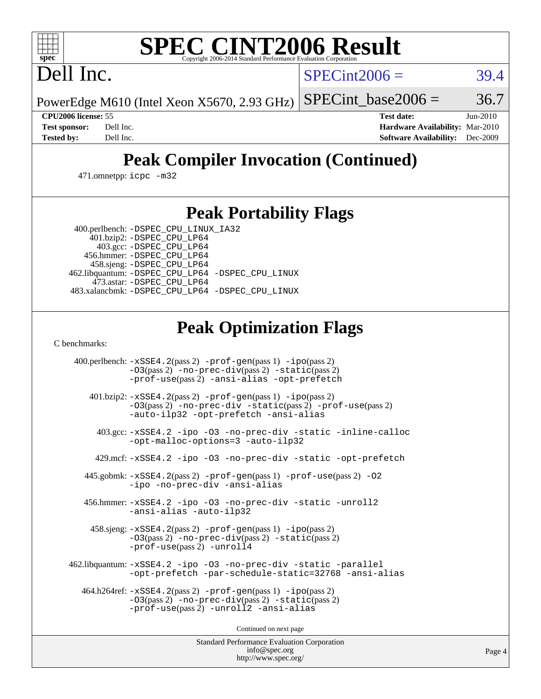# **[SPEC CINT2006 Result](http://www.spec.org/auto/cpu2006/Docs/result-fields.html#SPECCINT2006Result)**

Dell Inc.

 $SPECint2006 = 39.4$  $SPECint2006 = 39.4$ 

PowerEdge M610 (Intel Xeon X5670, 2.93 GHz) SPECint base2006 =  $36.7$ 

**[CPU2006 license:](http://www.spec.org/auto/cpu2006/Docs/result-fields.html#CPU2006license)** 55 **[Test date:](http://www.spec.org/auto/cpu2006/Docs/result-fields.html#Testdate)** Jun-2010 **[Test sponsor:](http://www.spec.org/auto/cpu2006/Docs/result-fields.html#Testsponsor)** Dell Inc. **[Hardware Availability:](http://www.spec.org/auto/cpu2006/Docs/result-fields.html#HardwareAvailability)** Mar-2010 **[Tested by:](http://www.spec.org/auto/cpu2006/Docs/result-fields.html#Testedby)** Dell Inc. **[Software Availability:](http://www.spec.org/auto/cpu2006/Docs/result-fields.html#SoftwareAvailability)** Dec-2009

## **[Peak Compiler Invocation \(Continued\)](http://www.spec.org/auto/cpu2006/Docs/result-fields.html#PeakCompilerInvocation)**

471.omnetpp: [icpc -m32](http://www.spec.org/cpu2006/results/res2010q3/cpu2006-20100719-12596.flags.html#user_peakCXXLD471_omnetpp_intel_icpc_32bit_4e5a5ef1a53fd332b3c49e69c3330699)

### **[Peak Portability Flags](http://www.spec.org/auto/cpu2006/Docs/result-fields.html#PeakPortabilityFlags)**

 400.perlbench: [-DSPEC\\_CPU\\_LINUX\\_IA32](http://www.spec.org/cpu2006/results/res2010q3/cpu2006-20100719-12596.flags.html#b400.perlbench_peakCPORTABILITY_DSPEC_CPU_LINUX_IA32) 401.bzip2: [-DSPEC\\_CPU\\_LP64](http://www.spec.org/cpu2006/results/res2010q3/cpu2006-20100719-12596.flags.html#suite_peakPORTABILITY401_bzip2_DSPEC_CPU_LP64)

 403.gcc: [-DSPEC\\_CPU\\_LP64](http://www.spec.org/cpu2006/results/res2010q3/cpu2006-20100719-12596.flags.html#suite_peakPORTABILITY403_gcc_DSPEC_CPU_LP64) 456.hmmer: [-DSPEC\\_CPU\\_LP64](http://www.spec.org/cpu2006/results/res2010q3/cpu2006-20100719-12596.flags.html#suite_peakPORTABILITY456_hmmer_DSPEC_CPU_LP64) 458.sjeng: [-DSPEC\\_CPU\\_LP64](http://www.spec.org/cpu2006/results/res2010q3/cpu2006-20100719-12596.flags.html#suite_peakPORTABILITY458_sjeng_DSPEC_CPU_LP64) 462.libquantum: [-DSPEC\\_CPU\\_LP64](http://www.spec.org/cpu2006/results/res2010q3/cpu2006-20100719-12596.flags.html#suite_peakPORTABILITY462_libquantum_DSPEC_CPU_LP64) [-DSPEC\\_CPU\\_LINUX](http://www.spec.org/cpu2006/results/res2010q3/cpu2006-20100719-12596.flags.html#b462.libquantum_peakCPORTABILITY_DSPEC_CPU_LINUX) 473.astar: [-DSPEC\\_CPU\\_LP64](http://www.spec.org/cpu2006/results/res2010q3/cpu2006-20100719-12596.flags.html#suite_peakPORTABILITY473_astar_DSPEC_CPU_LP64) 483.xalancbmk: [-DSPEC\\_CPU\\_LP64](http://www.spec.org/cpu2006/results/res2010q3/cpu2006-20100719-12596.flags.html#suite_peakPORTABILITY483_xalancbmk_DSPEC_CPU_LP64) [-DSPEC\\_CPU\\_LINUX](http://www.spec.org/cpu2006/results/res2010q3/cpu2006-20100719-12596.flags.html#b483.xalancbmk_peakCXXPORTABILITY_DSPEC_CPU_LINUX)

## **[Peak Optimization Flags](http://www.spec.org/auto/cpu2006/Docs/result-fields.html#PeakOptimizationFlags)**

[C benchmarks](http://www.spec.org/auto/cpu2006/Docs/result-fields.html#Cbenchmarks):

 400.perlbench: [-xSSE4.2](http://www.spec.org/cpu2006/results/res2010q3/cpu2006-20100719-12596.flags.html#user_peakPASS2_CFLAGSPASS2_LDCFLAGS400_perlbench_f-xSSE42_f91528193cf0b216347adb8b939d4107)(pass 2) [-prof-gen](http://www.spec.org/cpu2006/results/res2010q3/cpu2006-20100719-12596.flags.html#user_peakPASS1_CFLAGSPASS1_LDCFLAGS400_perlbench_prof_gen_e43856698f6ca7b7e442dfd80e94a8fc)(pass 1) [-ipo](http://www.spec.org/cpu2006/results/res2010q3/cpu2006-20100719-12596.flags.html#user_peakPASS2_CFLAGSPASS2_LDCFLAGS400_perlbench_f-ipo)(pass 2) [-O3](http://www.spec.org/cpu2006/results/res2010q3/cpu2006-20100719-12596.flags.html#user_peakPASS2_CFLAGSPASS2_LDCFLAGS400_perlbench_f-O3)(pass 2) [-no-prec-div](http://www.spec.org/cpu2006/results/res2010q3/cpu2006-20100719-12596.flags.html#user_peakPASS2_CFLAGSPASS2_LDCFLAGS400_perlbench_f-no-prec-div)(pass 2) [-static](http://www.spec.org/cpu2006/results/res2010q3/cpu2006-20100719-12596.flags.html#user_peakPASS2_CFLAGSPASS2_LDCFLAGS400_perlbench_f-static)(pass 2) [-prof-use](http://www.spec.org/cpu2006/results/res2010q3/cpu2006-20100719-12596.flags.html#user_peakPASS2_CFLAGSPASS2_LDCFLAGS400_perlbench_prof_use_bccf7792157ff70d64e32fe3e1250b55)(pass 2) [-ansi-alias](http://www.spec.org/cpu2006/results/res2010q3/cpu2006-20100719-12596.flags.html#user_peakCOPTIMIZE400_perlbench_f-ansi-alias) [-opt-prefetch](http://www.spec.org/cpu2006/results/res2010q3/cpu2006-20100719-12596.flags.html#user_peakCOPTIMIZE400_perlbench_f-opt-prefetch) 401.bzip2: [-xSSE4.2](http://www.spec.org/cpu2006/results/res2010q3/cpu2006-20100719-12596.flags.html#user_peakPASS2_CFLAGSPASS2_LDCFLAGS401_bzip2_f-xSSE42_f91528193cf0b216347adb8b939d4107)(pass 2) [-prof-gen](http://www.spec.org/cpu2006/results/res2010q3/cpu2006-20100719-12596.flags.html#user_peakPASS1_CFLAGSPASS1_LDCFLAGS401_bzip2_prof_gen_e43856698f6ca7b7e442dfd80e94a8fc)(pass 1) [-ipo](http://www.spec.org/cpu2006/results/res2010q3/cpu2006-20100719-12596.flags.html#user_peakPASS2_CFLAGSPASS2_LDCFLAGS401_bzip2_f-ipo)(pass 2) [-O3](http://www.spec.org/cpu2006/results/res2010q3/cpu2006-20100719-12596.flags.html#user_peakPASS2_CFLAGSPASS2_LDCFLAGS401_bzip2_f-O3)(pass 2) [-no-prec-div](http://www.spec.org/cpu2006/results/res2010q3/cpu2006-20100719-12596.flags.html#user_peakCOPTIMIZEPASS2_CFLAGSPASS2_LDCFLAGS401_bzip2_f-no-prec-div) [-static](http://www.spec.org/cpu2006/results/res2010q3/cpu2006-20100719-12596.flags.html#user_peakPASS2_CFLAGSPASS2_LDCFLAGS401_bzip2_f-static)(pass 2) [-prof-use](http://www.spec.org/cpu2006/results/res2010q3/cpu2006-20100719-12596.flags.html#user_peakPASS2_CFLAGSPASS2_LDCFLAGS401_bzip2_prof_use_bccf7792157ff70d64e32fe3e1250b55)(pass 2) [-auto-ilp32](http://www.spec.org/cpu2006/results/res2010q3/cpu2006-20100719-12596.flags.html#user_peakCOPTIMIZE401_bzip2_f-auto-ilp32) [-opt-prefetch](http://www.spec.org/cpu2006/results/res2010q3/cpu2006-20100719-12596.flags.html#user_peakCOPTIMIZE401_bzip2_f-opt-prefetch) [-ansi-alias](http://www.spec.org/cpu2006/results/res2010q3/cpu2006-20100719-12596.flags.html#user_peakCOPTIMIZE401_bzip2_f-ansi-alias) 403.gcc: [-xSSE4.2](http://www.spec.org/cpu2006/results/res2010q3/cpu2006-20100719-12596.flags.html#user_peakCOPTIMIZE403_gcc_f-xSSE42_f91528193cf0b216347adb8b939d4107) [-ipo](http://www.spec.org/cpu2006/results/res2010q3/cpu2006-20100719-12596.flags.html#user_peakCOPTIMIZE403_gcc_f-ipo) [-O3](http://www.spec.org/cpu2006/results/res2010q3/cpu2006-20100719-12596.flags.html#user_peakCOPTIMIZE403_gcc_f-O3) [-no-prec-div](http://www.spec.org/cpu2006/results/res2010q3/cpu2006-20100719-12596.flags.html#user_peakCOPTIMIZE403_gcc_f-no-prec-div) [-static](http://www.spec.org/cpu2006/results/res2010q3/cpu2006-20100719-12596.flags.html#user_peakCOPTIMIZE403_gcc_f-static) [-inline-calloc](http://www.spec.org/cpu2006/results/res2010q3/cpu2006-20100719-12596.flags.html#user_peakCOPTIMIZE403_gcc_f-inline-calloc) [-opt-malloc-options=3](http://www.spec.org/cpu2006/results/res2010q3/cpu2006-20100719-12596.flags.html#user_peakCOPTIMIZE403_gcc_f-opt-malloc-options_13ab9b803cf986b4ee62f0a5998c2238) [-auto-ilp32](http://www.spec.org/cpu2006/results/res2010q3/cpu2006-20100719-12596.flags.html#user_peakCOPTIMIZE403_gcc_f-auto-ilp32) 429.mcf: [-xSSE4.2](http://www.spec.org/cpu2006/results/res2010q3/cpu2006-20100719-12596.flags.html#user_peakCOPTIMIZE429_mcf_f-xSSE42_f91528193cf0b216347adb8b939d4107) [-ipo](http://www.spec.org/cpu2006/results/res2010q3/cpu2006-20100719-12596.flags.html#user_peakCOPTIMIZE429_mcf_f-ipo) [-O3](http://www.spec.org/cpu2006/results/res2010q3/cpu2006-20100719-12596.flags.html#user_peakCOPTIMIZE429_mcf_f-O3) [-no-prec-div](http://www.spec.org/cpu2006/results/res2010q3/cpu2006-20100719-12596.flags.html#user_peakCOPTIMIZE429_mcf_f-no-prec-div) [-static](http://www.spec.org/cpu2006/results/res2010q3/cpu2006-20100719-12596.flags.html#user_peakCOPTIMIZE429_mcf_f-static) [-opt-prefetch](http://www.spec.org/cpu2006/results/res2010q3/cpu2006-20100719-12596.flags.html#user_peakCOPTIMIZE429_mcf_f-opt-prefetch) 445.gobmk: [-xSSE4.2](http://www.spec.org/cpu2006/results/res2010q3/cpu2006-20100719-12596.flags.html#user_peakPASS2_CFLAGSPASS2_LDCFLAGS445_gobmk_f-xSSE42_f91528193cf0b216347adb8b939d4107)(pass 2) [-prof-gen](http://www.spec.org/cpu2006/results/res2010q3/cpu2006-20100719-12596.flags.html#user_peakPASS1_CFLAGSPASS1_LDCFLAGS445_gobmk_prof_gen_e43856698f6ca7b7e442dfd80e94a8fc)(pass 1) [-prof-use](http://www.spec.org/cpu2006/results/res2010q3/cpu2006-20100719-12596.flags.html#user_peakPASS2_CFLAGSPASS2_LDCFLAGS445_gobmk_prof_use_bccf7792157ff70d64e32fe3e1250b55)(pass 2) [-O2](http://www.spec.org/cpu2006/results/res2010q3/cpu2006-20100719-12596.flags.html#user_peakCOPTIMIZE445_gobmk_f-O2) [-ipo](http://www.spec.org/cpu2006/results/res2010q3/cpu2006-20100719-12596.flags.html#user_peakCOPTIMIZE445_gobmk_f-ipo) [-no-prec-div](http://www.spec.org/cpu2006/results/res2010q3/cpu2006-20100719-12596.flags.html#user_peakCOPTIMIZE445_gobmk_f-no-prec-div) [-ansi-alias](http://www.spec.org/cpu2006/results/res2010q3/cpu2006-20100719-12596.flags.html#user_peakCOPTIMIZE445_gobmk_f-ansi-alias) 456.hmmer: [-xSSE4.2](http://www.spec.org/cpu2006/results/res2010q3/cpu2006-20100719-12596.flags.html#user_peakCOPTIMIZE456_hmmer_f-xSSE42_f91528193cf0b216347adb8b939d4107) [-ipo](http://www.spec.org/cpu2006/results/res2010q3/cpu2006-20100719-12596.flags.html#user_peakCOPTIMIZE456_hmmer_f-ipo) [-O3](http://www.spec.org/cpu2006/results/res2010q3/cpu2006-20100719-12596.flags.html#user_peakCOPTIMIZE456_hmmer_f-O3) [-no-prec-div](http://www.spec.org/cpu2006/results/res2010q3/cpu2006-20100719-12596.flags.html#user_peakCOPTIMIZE456_hmmer_f-no-prec-div) [-static](http://www.spec.org/cpu2006/results/res2010q3/cpu2006-20100719-12596.flags.html#user_peakCOPTIMIZE456_hmmer_f-static) [-unroll2](http://www.spec.org/cpu2006/results/res2010q3/cpu2006-20100719-12596.flags.html#user_peakCOPTIMIZE456_hmmer_f-unroll_784dae83bebfb236979b41d2422d7ec2) [-ansi-alias](http://www.spec.org/cpu2006/results/res2010q3/cpu2006-20100719-12596.flags.html#user_peakCOPTIMIZE456_hmmer_f-ansi-alias) [-auto-ilp32](http://www.spec.org/cpu2006/results/res2010q3/cpu2006-20100719-12596.flags.html#user_peakCOPTIMIZE456_hmmer_f-auto-ilp32) 458.sjeng: [-xSSE4.2](http://www.spec.org/cpu2006/results/res2010q3/cpu2006-20100719-12596.flags.html#user_peakPASS2_CFLAGSPASS2_LDCFLAGS458_sjeng_f-xSSE42_f91528193cf0b216347adb8b939d4107)(pass 2) [-prof-gen](http://www.spec.org/cpu2006/results/res2010q3/cpu2006-20100719-12596.flags.html#user_peakPASS1_CFLAGSPASS1_LDCFLAGS458_sjeng_prof_gen_e43856698f6ca7b7e442dfd80e94a8fc)(pass 1) [-ipo](http://www.spec.org/cpu2006/results/res2010q3/cpu2006-20100719-12596.flags.html#user_peakPASS2_CFLAGSPASS2_LDCFLAGS458_sjeng_f-ipo)(pass 2) [-O3](http://www.spec.org/cpu2006/results/res2010q3/cpu2006-20100719-12596.flags.html#user_peakPASS2_CFLAGSPASS2_LDCFLAGS458_sjeng_f-O3)(pass 2) [-no-prec-div](http://www.spec.org/cpu2006/results/res2010q3/cpu2006-20100719-12596.flags.html#user_peakPASS2_CFLAGSPASS2_LDCFLAGS458_sjeng_f-no-prec-div)(pass 2) [-static](http://www.spec.org/cpu2006/results/res2010q3/cpu2006-20100719-12596.flags.html#user_peakPASS2_CFLAGSPASS2_LDCFLAGS458_sjeng_f-static)(pass 2) [-prof-use](http://www.spec.org/cpu2006/results/res2010q3/cpu2006-20100719-12596.flags.html#user_peakPASS2_CFLAGSPASS2_LDCFLAGS458_sjeng_prof_use_bccf7792157ff70d64e32fe3e1250b55)(pass 2) [-unroll4](http://www.spec.org/cpu2006/results/res2010q3/cpu2006-20100719-12596.flags.html#user_peakCOPTIMIZE458_sjeng_f-unroll_4e5e4ed65b7fd20bdcd365bec371b81f) 462.libquantum: [-xSSE4.2](http://www.spec.org/cpu2006/results/res2010q3/cpu2006-20100719-12596.flags.html#user_peakCOPTIMIZE462_libquantum_f-xSSE42_f91528193cf0b216347adb8b939d4107) [-ipo](http://www.spec.org/cpu2006/results/res2010q3/cpu2006-20100719-12596.flags.html#user_peakCOPTIMIZE462_libquantum_f-ipo) [-O3](http://www.spec.org/cpu2006/results/res2010q3/cpu2006-20100719-12596.flags.html#user_peakCOPTIMIZE462_libquantum_f-O3) [-no-prec-div](http://www.spec.org/cpu2006/results/res2010q3/cpu2006-20100719-12596.flags.html#user_peakCOPTIMIZE462_libquantum_f-no-prec-div) [-static](http://www.spec.org/cpu2006/results/res2010q3/cpu2006-20100719-12596.flags.html#user_peakCOPTIMIZE462_libquantum_f-static) [-parallel](http://www.spec.org/cpu2006/results/res2010q3/cpu2006-20100719-12596.flags.html#user_peakCOPTIMIZE462_libquantum_f-parallel) [-opt-prefetch](http://www.spec.org/cpu2006/results/res2010q3/cpu2006-20100719-12596.flags.html#user_peakCOPTIMIZE462_libquantum_f-opt-prefetch) [-par-schedule-static=32768](http://www.spec.org/cpu2006/results/res2010q3/cpu2006-20100719-12596.flags.html#user_peakCOPTIMIZE462_libquantum_f-par-schedule_9386bcd99ba64e99ee01d1aafefddd14) [-ansi-alias](http://www.spec.org/cpu2006/results/res2010q3/cpu2006-20100719-12596.flags.html#user_peakCOPTIMIZE462_libquantum_f-ansi-alias) 464.h264ref: [-xSSE4.2](http://www.spec.org/cpu2006/results/res2010q3/cpu2006-20100719-12596.flags.html#user_peakPASS2_CFLAGSPASS2_LDCFLAGS464_h264ref_f-xSSE42_f91528193cf0b216347adb8b939d4107)(pass 2) [-prof-gen](http://www.spec.org/cpu2006/results/res2010q3/cpu2006-20100719-12596.flags.html#user_peakPASS1_CFLAGSPASS1_LDCFLAGS464_h264ref_prof_gen_e43856698f6ca7b7e442dfd80e94a8fc)(pass 1) [-ipo](http://www.spec.org/cpu2006/results/res2010q3/cpu2006-20100719-12596.flags.html#user_peakPASS2_CFLAGSPASS2_LDCFLAGS464_h264ref_f-ipo)(pass 2) [-O3](http://www.spec.org/cpu2006/results/res2010q3/cpu2006-20100719-12596.flags.html#user_peakPASS2_CFLAGSPASS2_LDCFLAGS464_h264ref_f-O3)(pass 2) [-no-prec-div](http://www.spec.org/cpu2006/results/res2010q3/cpu2006-20100719-12596.flags.html#user_peakPASS2_CFLAGSPASS2_LDCFLAGS464_h264ref_f-no-prec-div)(pass 2) [-static](http://www.spec.org/cpu2006/results/res2010q3/cpu2006-20100719-12596.flags.html#user_peakPASS2_CFLAGSPASS2_LDCFLAGS464_h264ref_f-static)(pass 2) [-prof-use](http://www.spec.org/cpu2006/results/res2010q3/cpu2006-20100719-12596.flags.html#user_peakPASS2_CFLAGSPASS2_LDCFLAGS464_h264ref_prof_use_bccf7792157ff70d64e32fe3e1250b55)(pass 2) [-unroll2](http://www.spec.org/cpu2006/results/res2010q3/cpu2006-20100719-12596.flags.html#user_peakCOPTIMIZE464_h264ref_f-unroll_784dae83bebfb236979b41d2422d7ec2) [-ansi-alias](http://www.spec.org/cpu2006/results/res2010q3/cpu2006-20100719-12596.flags.html#user_peakCOPTIMIZE464_h264ref_f-ansi-alias)

Continued on next page

Standard Performance Evaluation Corporation [info@spec.org](mailto:info@spec.org) <http://www.spec.org/>